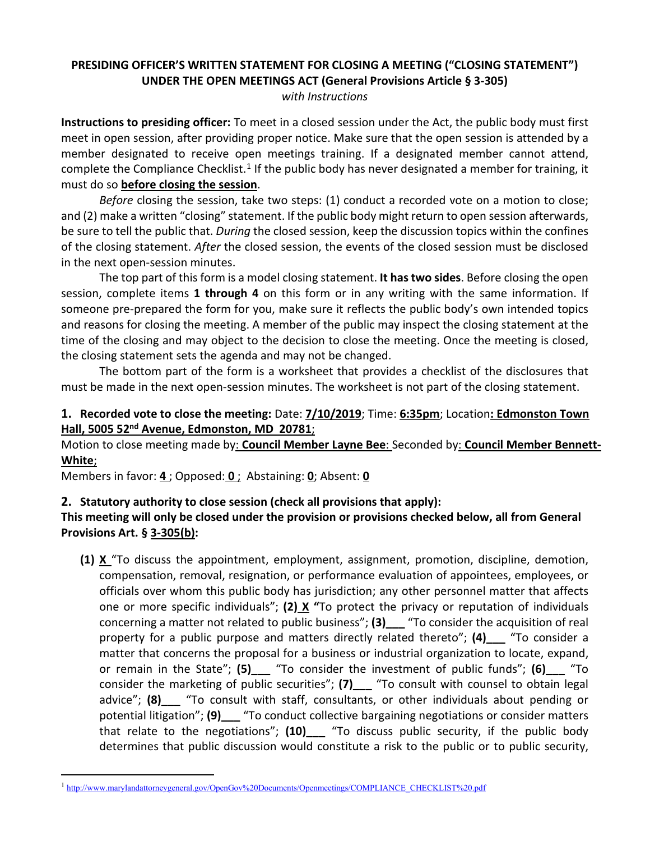# **PRESIDING OFFICER'S WRITTEN STATEMENT FOR CLOSING A MEETING ("CLOSING STATEMENT") UNDER THE OPEN MEETINGS ACT (General Provisions Article § 3-305)**

*with Instructions*

**Instructions to presiding officer:** To meet in a closed session under the Act, the public body must first meet in open session, after providing proper notice. Make sure that the open session is attended by a member designated to receive open meetings training. If a designated member cannot attend, complete the Compliance Checklist.<sup>[1](#page-0-0)</sup> If the public body has never designated a member for training, it must do so **before closing the session**.

*Before* closing the session, take two steps: (1) conduct a recorded vote on a motion to close; and (2) make a written "closing" statement. If the public body might return to open session afterwards, be sure to tell the public that. *During* the closed session, keep the discussion topics within the confines of the closing statement. *After* the closed session, the events of the closed session must be disclosed in the next open-session minutes.

The top part of this form is a model closing statement. **It has two sides**. Before closing the open session, complete items **1 through 4** on this form or in any writing with the same information. If someone pre-prepared the form for you, make sure it reflects the public body's own intended topics and reasons for closing the meeting. A member of the public may inspect the closing statement at the time of the closing and may object to the decision to close the meeting. Once the meeting is closed, the closing statement sets the agenda and may not be changed.

The bottom part of the form is a worksheet that provides a checklist of the disclosures that must be made in the next open-session minutes. The worksheet is not part of the closing statement.

# **1. Recorded vote to close the meeting:** Date: **7/10/2019**; Time: **6:35pm**; Location**: Edmonston Town Hall, 5005 52nd Avenue, Edmonston, MD 20781**;

Motion to close meeting made by: **Council Member Layne Bee**: Seconded by: **Council Member Bennett-White**;

Members in favor: **4** ; Opposed: **0** ; Abstaining: **0**; Absent: **0**

# **2. Statutory authority to close session (check all provisions that apply):**

# **This meeting will only be closed under the provision or provisions checked below, all from General Provisions Art. § 3-305(b):**

**(1) X** "To discuss the appointment, employment, assignment, promotion, discipline, demotion, compensation, removal, resignation, or performance evaluation of appointees, employees, or officials over whom this public body has jurisdiction; any other personnel matter that affects one or more specific individuals"; **(2) X "**To protect the privacy or reputation of individuals concerning a matter not related to public business"; **(3)\_\_\_** "To consider the acquisition of real property for a public purpose and matters directly related thereto"; **(4)\_\_\_** "To consider a matter that concerns the proposal for a business or industrial organization to locate, expand, or remain in the State"; **(5)\_\_\_** "To consider the investment of public funds"; **(6)\_\_\_** "To consider the marketing of public securities"; **(7)\_\_\_** "To consult with counsel to obtain legal advice"; **(8)\_\_\_** "To consult with staff, consultants, or other individuals about pending or potential litigation"; **(9)\_\_\_** "To conduct collective bargaining negotiations or consider matters that relate to the negotiations"; **(10)\_\_\_** "To discuss public security, if the public body determines that public discussion would constitute a risk to the public or to public security,

<span id="page-0-0"></span><sup>&</sup>lt;sup>1</sup> [http://www.marylandattorneygeneral.gov/OpenGov%20Documents/Openmeetings/COMPLIANCE\\_CHECKLIST%20.pdf](http://www.marylandattorneygeneral.gov/OpenGov%20Documents/Openmeetings/COMPLIANCE_CHECKLIST%20.pdf)